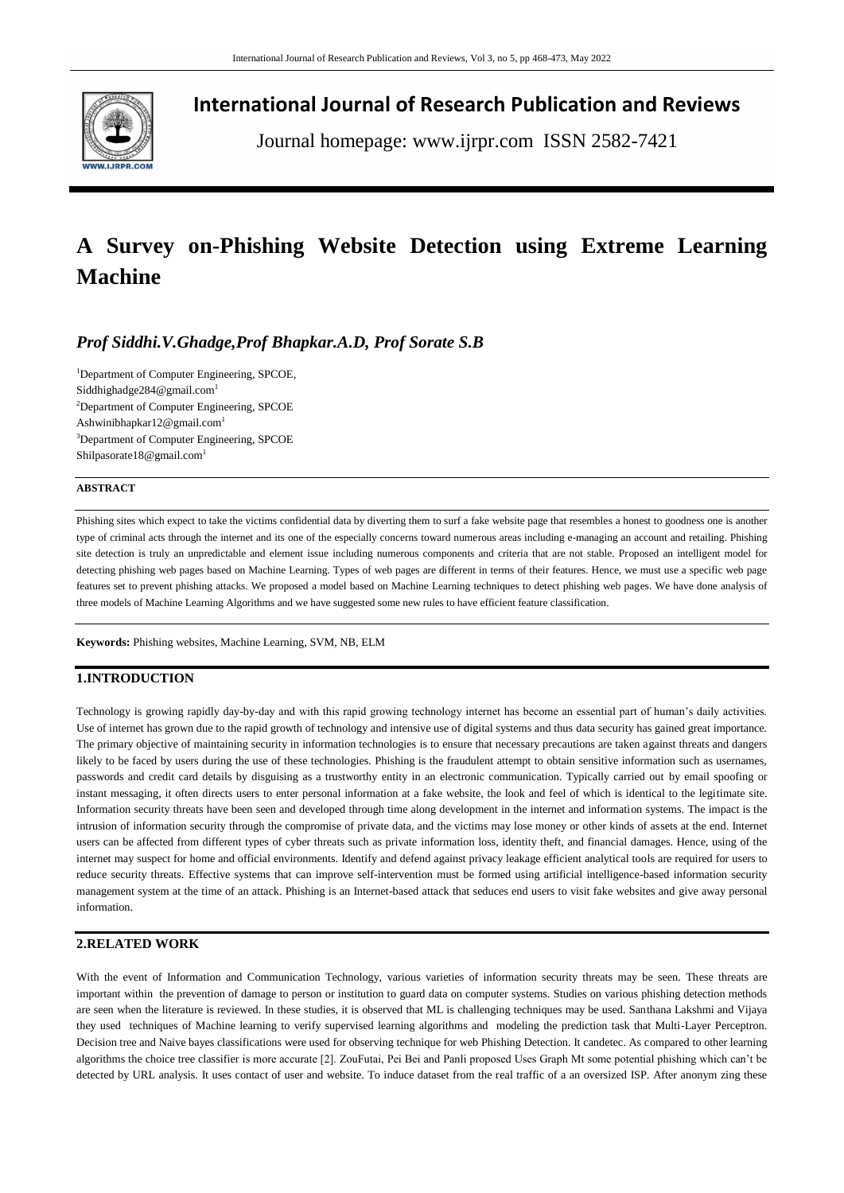

**International Journal of Research Publication and Reviews**

Journal homepage: www.ijrpr.com ISSN 2582-7421

# **A Survey on-Phishing Website Detection using Extreme Learning Machine**

## *Prof Siddhi.V.Ghadge,Prof Bhapkar.A.D, Prof Sorate S.B*

<sup>1</sup>Department of Computer Engineering, SPCOE, Siddhighadge284@gmail.com<sup>1</sup> <sup>2</sup>Department of Computer Engineering, SPCOE Ashwinibhapkar12@gmail.com<sup>1</sup> <sup>3</sup>Department of Computer Engineering, SPCOE Shilpasorate18@gmail.com<sup>1</sup>

#### **ABSTRACT**

Phishing sites which expect to take the victims confidential data by diverting them to surf a fake website page that resembles a honest to goodness one is another type of criminal acts through the internet and its one of the especially concerns toward numerous areas including e-managing an account and retailing. Phishing site detection is truly an unpredictable and element issue including numerous components and criteria that are not stable. Proposed an intelligent model for detecting phishing web pages based on Machine Learning. Types of web pages are different in terms of their features. Hence, we must use a specific web page features set to prevent phishing attacks. We proposed a model based on Machine Learning techniques to detect phishing web pages. We have done analysis of three models of Machine Learning Algorithms and we have suggested some new rules to have efficient feature classification.

**Keywords:** Phishing websites, Machine Learning, SVM, NB, ELM

## **1.INTRODUCTION**

Technology is growing rapidly day-by-day and with this rapid growing technology internet has become an essential part of human's daily activities. Use of internet has grown due to the rapid growth of technology and intensive use of digital systems and thus data security has gained great importance. The primary objective of maintaining security in information technologies is to ensure that necessary precautions are taken against threats and dangers likely to be faced by users during the use of these technologies. Phishing is the fraudulent attempt to obtain sensitive information such as usernames, passwords and credit card details by disguising as a trustworthy entity in an electronic communication. Typically carried out by email spoofing or instant messaging, it often directs users to enter personal information at a fake website, the look and feel of which is identical to the legitimate site. Information security threats have been seen and developed through time along development in the internet and information systems. The impact is the intrusion of information security through the compromise of private data, and the victims may lose money or other kinds of assets at the end. Internet users can be affected from different types of cyber threats such as private information loss, identity theft, and financial damages. Hence, using of the internet may suspect for home and official environments. Identify and defend against privacy leakage efficient analytical tools are required for users to reduce security threats. Effective systems that can improve self-intervention must be formed using artificial intelligence-based information security management system at the time of an attack. Phishing is an Internet-based attack that seduces end users to visit fake websites and give away personal information.

## **2.RELATED WORK**

With the event of Information and Communication Technology, various varieties of information security threats may be seen. These threats are important within the prevention of damage to person or institution to guard data on computer systems. Studies on various phishing detection methods are seen when the literature is reviewed. In these studies, it is observed that ML is challenging techniques may be used. Santhana Lakshmi and Vijaya they used techniques of Machine learning to verify supervised learning algorithms and modeling the prediction task that Multi-Layer Perceptron. Decision tree and Naive bayes classifications were used for observing technique for web Phishing Detection. It candetec. As compared to other learning algorithms the choice tree classifier is more accurate [2]. ZouFutai, Pei Bei and Panli proposed Uses Graph Mt some potential phishing which can't be detected by URL analysis. It uses contact of user and website. To induce dataset from the real traffic of a an oversized ISP. After anonym zing these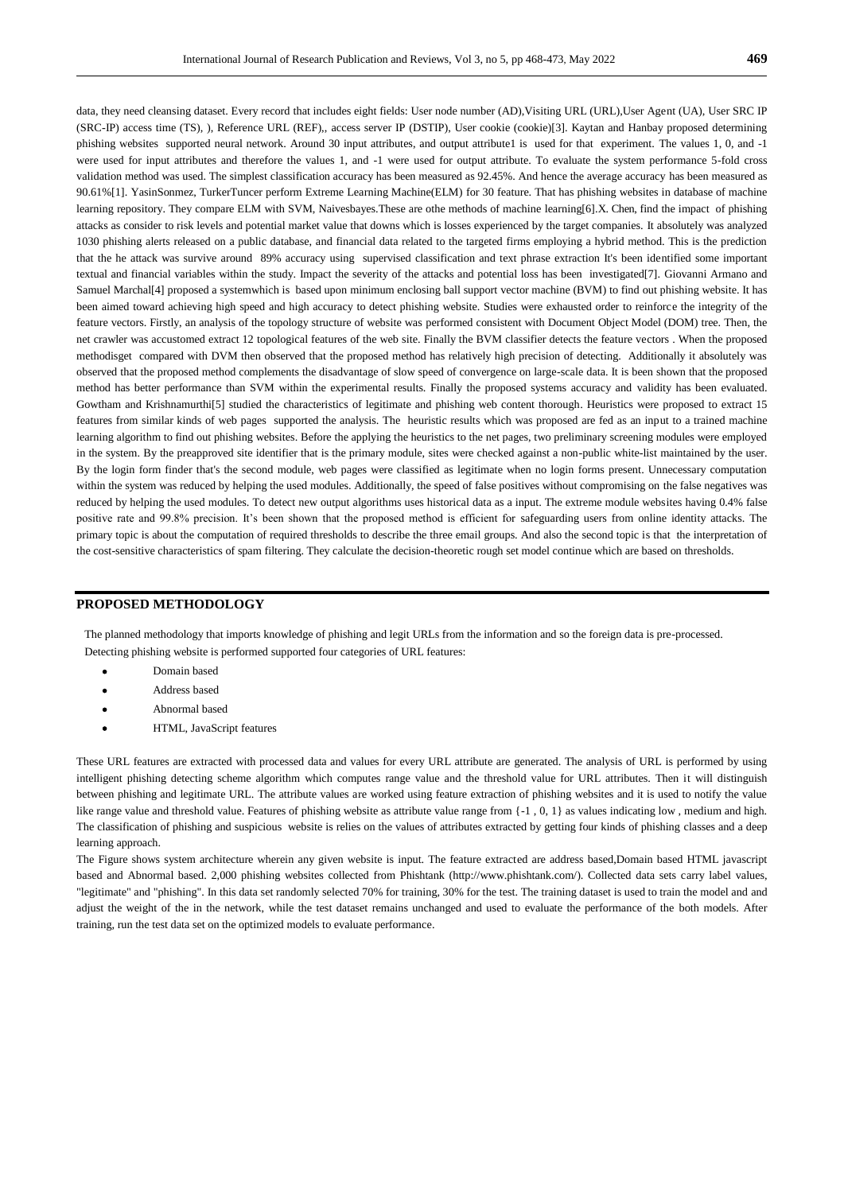data, they need cleansing dataset. Every record that includes eight fields: User node number (AD),Visiting URL (URL),User Agent (UA), User SRC IP (SRC-IP) access time (TS), ), Reference URL (REF),, access server IP (DSTIP), User cookie (cookie)[3]. Kaytan and Hanbay proposed determining phishing websites supported neural network. Around 30 input attributes, and output attribute1 is used for that experiment. The values 1, 0, and -1 were used for input attributes and therefore the values 1, and -1 were used for output attribute. To evaluate the system performance 5-fold cross validation method was used. The simplest classification accuracy has been measured as 92.45%. And hence the average accuracy has been measured as 90.61%[1]. YasinSonmez, TurkerTuncer perform Extreme Learning Machine(ELM) for 30 feature. That has phishing websites in database of machine learning repository. They compare ELM with SVM, Naivesbayes.These are othe methods of machine learning[6].X. Chen, find the impact of phishing attacks as consider to risk levels and potential market value that downs which is losses experienced by the target companies. It absolutely was analyzed 1030 phishing alerts released on a public database, and financial data related to the targeted firms employing a hybrid method. This is the prediction that the he attack was survive around 89% accuracy using supervised classification and text phrase extraction It's been identified some important textual and financial variables within the study. Impact the severity of the attacks and potential loss has been investigated[7]. Giovanni Armano and Samuel Marchal[4] proposed a systemwhich is based upon minimum enclosing ball support vector machine (BVM) to find out phishing website. It has been aimed toward achieving high speed and high accuracy to detect phishing website. Studies were exhausted order to reinforce the integrity of the feature vectors. Firstly, an analysis of the topology structure of website was performed consistent with Document Object Model (DOM) tree. Then, the net crawler was accustomed extract 12 topological features of the web site. Finally the BVM classifier detects the feature vectors . When the proposed methodisget compared with DVM then observed that the proposed method has relatively high precision of detecting. Additionally it absolutely was observed that the proposed method complements the disadvantage of slow speed of convergence on large-scale data. It is been shown that the proposed method has better performance than SVM within the experimental results. Finally the proposed systems accuracy and validity has been evaluated. Gowtham and Krishnamurthi[5] studied the characteristics of legitimate and phishing web content thorough. Heuristics were proposed to extract 15 features from similar kinds of web pages supported the analysis. The heuristic results which was proposed are fed as an input to a trained machine learning algorithm to find out phishing websites. Before the applying the heuristics to the net pages, two preliminary screening modules were employed in the system. By the preapproved site identifier that is the primary module, sites were checked against a non-public white-list maintained by the user. By the login form finder that's the second module, web pages were classified as legitimate when no login forms present. Unnecessary computation within the system was reduced by helping the used modules. Additionally, the speed of false positives without compromising on the false negatives was reduced by helping the used modules. To detect new output algorithms uses historical data as a input. The extreme module websites having 0.4% false positive rate and 99.8% precision. It's been shown that the proposed method is efficient for safeguarding users from online identity attacks. The primary topic is about the computation of required thresholds to describe the three email groups. And also the second topic is that the interpretation of the cost-sensitive characteristics of spam filtering. They calculate the decision-theoretic rough set model continue which are based on thresholds.

#### **PROPOSED METHODOLOGY**

The planned methodology that imports knowledge of phishing and legit URLs from the information and so the foreign data is pre-processed. Detecting phishing website is performed supported four categories of URL features:

- Domain based
- Address based
- Abnormal based
- HTML, JavaScript features

These URL features are extracted with processed data and values for every URL attribute are generated. The analysis of URL is performed by using intelligent phishing detecting scheme algorithm which computes range value and the threshold value for URL attributes. Then it will distinguish between phishing and legitimate URL. The attribute values are worked using feature extraction of phishing websites and it is used to notify the value like range value and threshold value. Features of phishing website as attribute value range from {-1 , 0, 1} as values indicating low , medium and high. The classification of phishing and suspicious website is relies on the values of attributes extracted by getting four kinds of phishing classes and a deep learning approach.

The Figure shows system architecture wherein any given website is input. The feature extracted are address based,Domain based HTML javascript based and Abnormal based. 2,000 phishing websites collected from Phishtank (http://www.phishtank.com/). Collected data sets carry label values, "legitimate" and "phishing". In this data set randomly selected 70% for training, 30% for the test. The training dataset is used to train the model and and adjust the weight of the in the network, while the test dataset remains unchanged and used to evaluate the performance of the both models. After training, run the test data set on the optimized models to evaluate performance.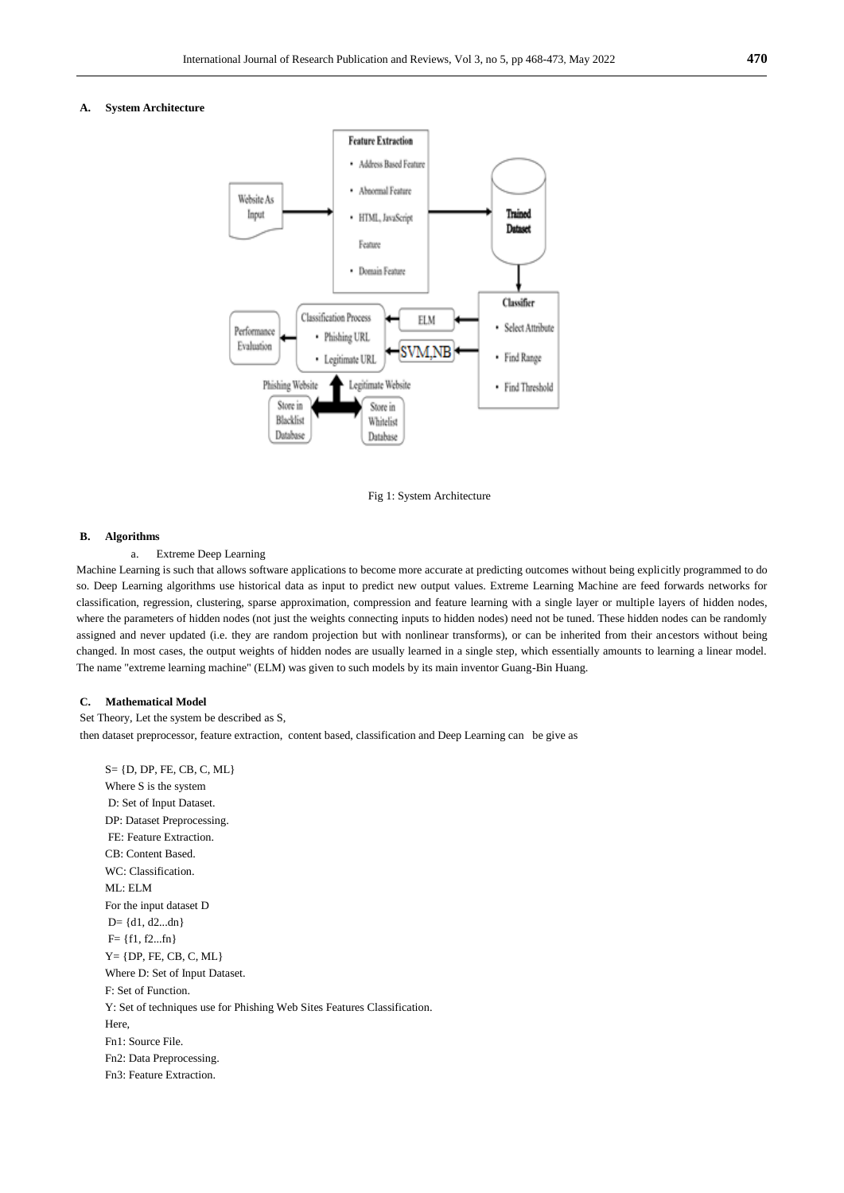#### **A. System Architecture**



Fig 1: System Architecture

#### **B. Algorithms**

#### a. Extreme Deep Learning

Machine Learning is such that allows software applications to become more accurate at predicting outcomes without being explicitly programmed to do so. Deep Learning algorithms use historical data as input to predict new output values. Extreme Learning Machine are feed forwards networks for classification, regression, clustering, sparse approximation, compression and feature learning with a single layer or multiple layers of hidden nodes, where the parameters of hidden nodes (not just the weights connecting inputs to hidden nodes) need not be tuned. These hidden nodes can be randomly assigned and never updated (i.e. they are random projection but with nonlinear transforms), or can be inherited from their ancestors without being changed. In most cases, the output weights of hidden nodes are usually learned in a single step, which essentially amounts to learning a linear model. The name "extreme learning machine" (ELM) was given to such models by its main inventor Guang-Bin Huang.

#### **C. Mathematical Model**

Set Theory, Let the system be described as S, then dataset preprocessor, feature extraction, content based, classification and Deep Learning can be give as

S= {D, DP, FE, CB, C, ML} Where S is the system D: Set of Input Dataset. DP: Dataset Preprocessing. FE: Feature Extraction. CB: Content Based. WC: Classification. ML: ELM For the input dataset D  $D = \{d1, d2...dn\}$  $F = \{f1, f2...fn\}$  $Y = \{DP, FE, CB, C, ML\}$ Where D: Set of Input Dataset. F: Set of Function. Y: Set of techniques use for Phishing Web Sites Features Classification. Here, Fn1: Source File. Fn2: Data Preprocessing. Fn3: Feature Extraction.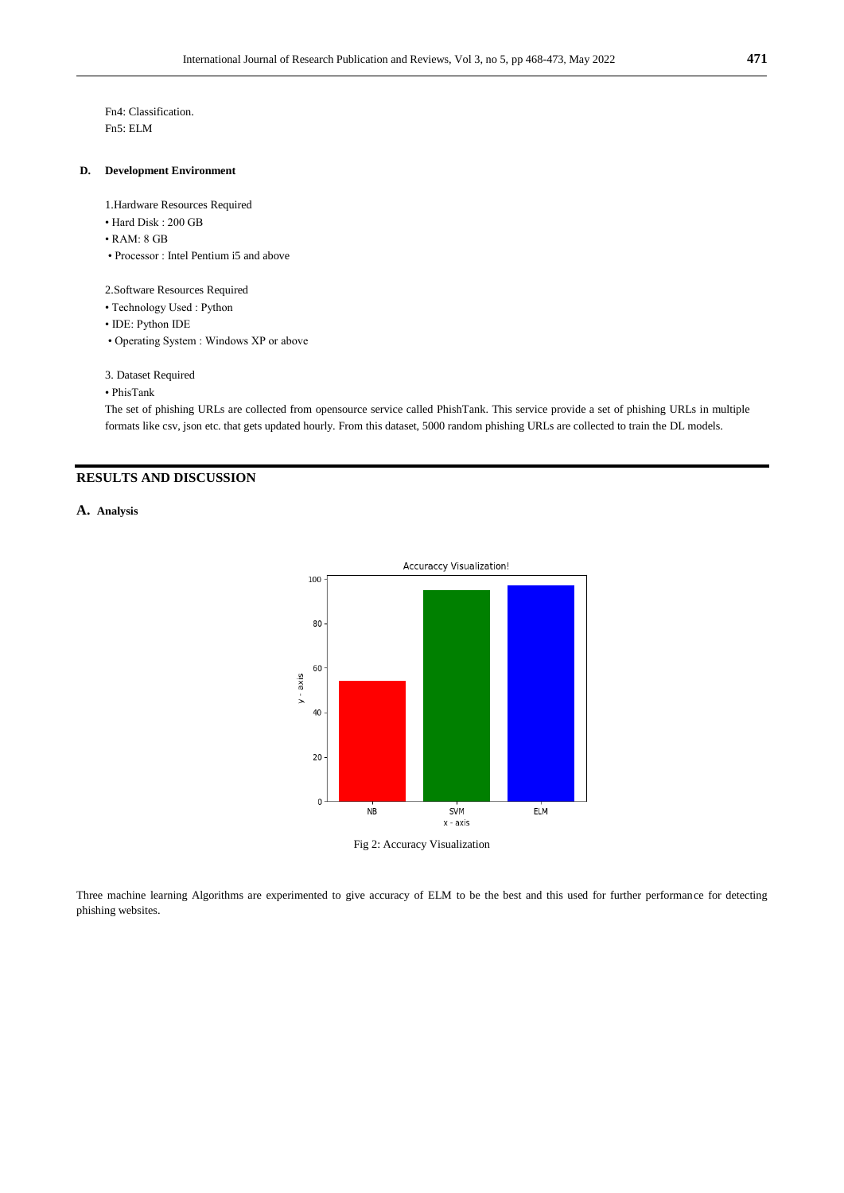Fn4: Classification. Fn5: ELM

#### **D. Development Environment**

1.Hardware Resources Required

- Hard Disk : 200 GB
- RAM: 8 GB
- Processor : Intel Pentium i5 and above

2.Software Resources Required

- Technology Used : Python
- IDE: Python IDE
- Operating System : Windows XP or above
- 3. Dataset Required
- PhisTank

The set of phishing URLs are collected from opensource service called PhishTank. This service provide a set of phishing URLs in multiple formats like csv, json etc. that gets updated hourly. From this dataset, 5000 random phishing URLs are collected to train the DL models.

## **RESULTS AND DISCUSSION**

**A. Analysis**



Fig 2: Accuracy Visualization

Three machine learning Algorithms are experimented to give accuracy of ELM to be the best and this used for further performance for detecting phishing websites.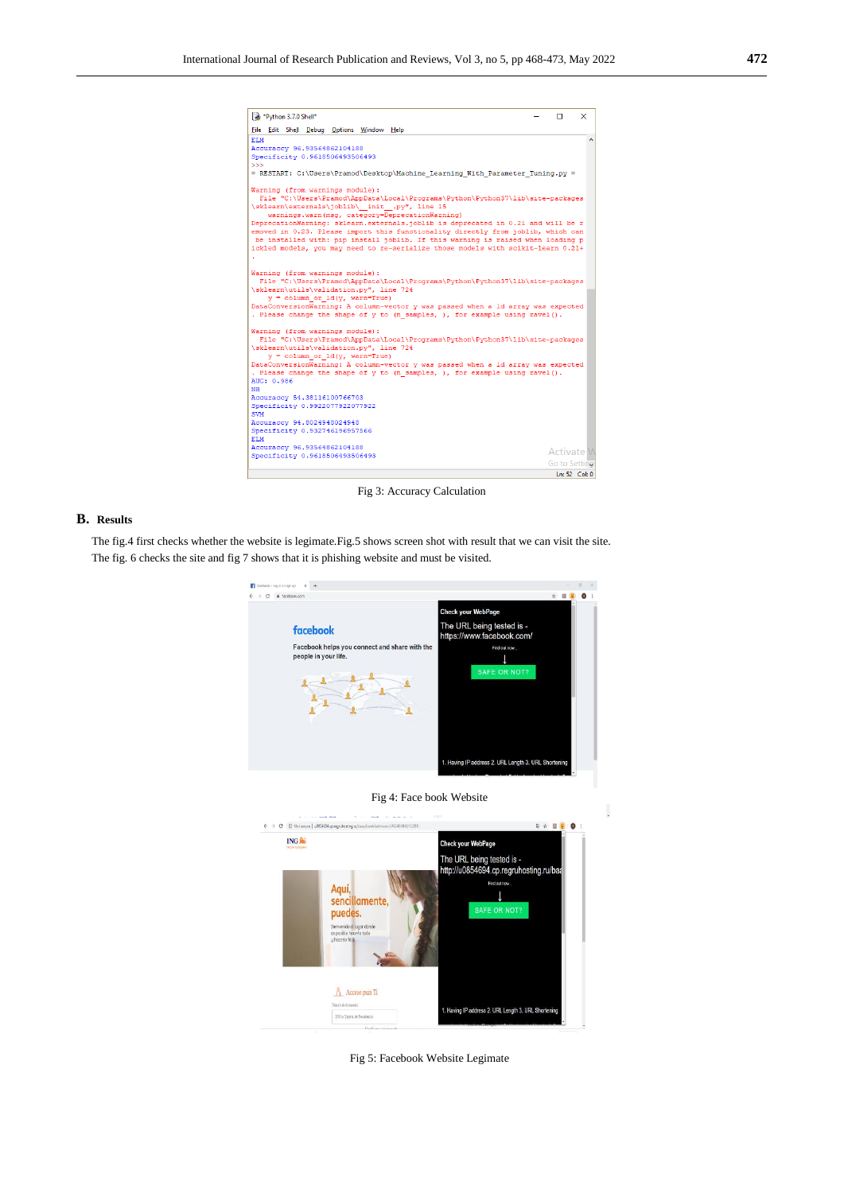| *Python 3.7.0 Shell*                                                                                                                                                | п             | × |
|---------------------------------------------------------------------------------------------------------------------------------------------------------------------|---------------|---|
| File Edit Shell Debug Options Window Help                                                                                                                           |               |   |
| <b>ELM</b>                                                                                                                                                          |               |   |
| Accuraccy 96.93564862104188                                                                                                                                         |               |   |
| Specificity 0.9618506493506493                                                                                                                                      |               |   |
| $\gg$                                                                                                                                                               |               |   |
| = RESTART: C:\Users\Pramod\Desktop\Machine Learning With Parameter Tuning.py =                                                                                      |               |   |
| Warning (from warnings module):                                                                                                                                     |               |   |
| File "C:\Users\Pramod\AppData\Local\Programs\Python\Python37\lib\site-packages                                                                                      |               |   |
| \sklearn\externals\joblib\_init_.py", line 15                                                                                                                       |               |   |
| warnings.warn(msg, category=DeprecationWarning)                                                                                                                     |               |   |
| DeprecationWarning: sklearn.externals.joblib is deprecated in 0.21 and will be r                                                                                    |               |   |
| emoved in 0.23. Please import this functionality directly from joblib, which can                                                                                    |               |   |
| be installed with: pip install joblib. If this warning is raised when loading p<br>ickled models, you may need to re-serialize those models with scikit-learn 0.21+ |               |   |
|                                                                                                                                                                     |               |   |
|                                                                                                                                                                     |               |   |
| Warning (from warnings module):                                                                                                                                     |               |   |
| File "C:\Users\Pramod\AppData\Local\Programs\Python\Python37\lib\site-packages                                                                                      |               |   |
| \sklearn\utils\validation.py", line 724                                                                                                                             |               |   |
| $y = column or 1d(y, warn=True)$                                                                                                                                    |               |   |
| DataConversionWarning: A column-vector y was passed when a 1d array was expected                                                                                    |               |   |
| . Please change the shape of y to (n samples, ), for example using ravel().                                                                                         |               |   |
| Warning (from warnings module):                                                                                                                                     |               |   |
| File "C:\Users\Pramod\AppData\Local\Programs\Python\Python37\lib\site-packages                                                                                      |               |   |
| \sklearn\utils\validation.pv", line 724                                                                                                                             |               |   |
| $y = column or 1d(y, warn=True)$                                                                                                                                    |               |   |
| DataConversionWarning: A column-vector y was passed when a 1d array was expected                                                                                    |               |   |
| . Please change the shape of y to (n samples, ), for example using ravel().<br>AUC: 0.986                                                                           |               |   |
| <b>NB</b>                                                                                                                                                           |               |   |
| Accuraccy 54.38116100766703                                                                                                                                         |               |   |
| Specificity 0.9922077922077922                                                                                                                                      |               |   |
| <b>SVM</b>                                                                                                                                                          |               |   |
| Accuraccy 94.8024948024948                                                                                                                                          |               |   |
| Specificity 0.932746196957566                                                                                                                                       |               |   |
| ELM                                                                                                                                                                 |               |   |
| Accuraccy 96.93564862104188<br>Specificity 0.9618506493506493                                                                                                       | Activate M    |   |
|                                                                                                                                                                     | Go to Setting |   |
|                                                                                                                                                                     | Ln: 52 Col: 0 |   |
|                                                                                                                                                                     |               |   |

Fig 3: Accuracy Calculation

## **B. Results**

The fig.4 first checks whether the website is legimate.Fig.5 shows screen shot with result that we can visit the site. The fig. 6 checks the site and fig 7 shows that it is phishing website and must be visited.





L



Fig 5: Facebook Website Legimate